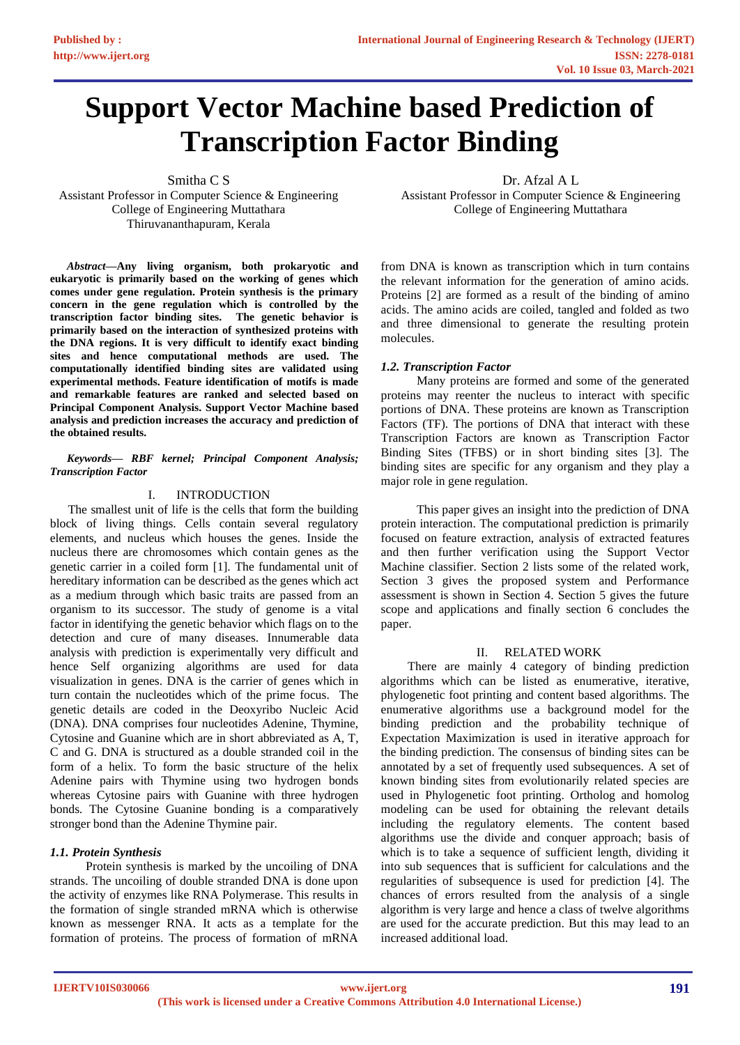# **Support Vector Machine based Prediction of Transcription Factor Binding**

Smitha C S Assistant Professor in Computer Science & Engineering College of Engineering Muttathara Thiruvananthapuram, Kerala

*Abstract***—Any living organism, both prokaryotic and eukaryotic is primarily based on the working of genes which comes under gene regulation. Protein synthesis is the primary concern in the gene regulation which is controlled by the transcription factor binding sites. The genetic behavior is primarily based on the interaction of synthesized proteins with the DNA regions. It is very difficult to identify exact binding sites and hence computational methods are used. The computationally identified binding sites are validated using experimental methods. Feature identification of motifs is made and remarkable features are ranked and selected based on Principal Component Analysis. Support Vector Machine based analysis and prediction increases the accuracy and prediction of the obtained results.**

#### *Keywords— RBF kernel; Principal Component Analysis; Transcription Factor*

# I. INTRODUCTION

The smallest unit of life is the cells that form the building block of living things. Cells contain several regulatory elements, and nucleus which houses the genes. Inside the nucleus there are chromosomes which contain genes as the genetic carrier in a coiled form [1]. The fundamental unit of hereditary information can be described as the genes which act as a medium through which basic traits are passed from an organism to its successor. The study of genome is a vital factor in identifying the genetic behavior which flags on to the detection and cure of many diseases. Innumerable data analysis with prediction is experimentally very difficult and hence Self organizing algorithms are used for data visualization in genes. DNA is the carrier of genes which in turn contain the nucleotides which of the prime focus. The genetic details are coded in the Deoxyribo Nucleic Acid (DNA). DNA comprises four nucleotides Adenine, Thymine, Cytosine and Guanine which are in short abbreviated as A, T, C and G. DNA is structured as a double stranded coil in the form of a helix. To form the basic structure of the helix Adenine pairs with Thymine using two hydrogen bonds whereas Cytosine pairs with Guanine with three hydrogen bonds. The Cytosine Guanine bonding is a comparatively stronger bond than the Adenine Thymine pair.

# *1.1. Protein Synthesis*

Protein synthesis is marked by the uncoiling of DNA strands. The uncoiling of double stranded DNA is done upon the activity of enzymes like RNA Polymerase. This results in the formation of single stranded mRNA which is otherwise known as messenger RNA. It acts as a template for the formation of proteins. The process of formation of mRNA

Dr. Afzal A L Assistant Professor in Computer Science & Engineering College of Engineering Muttathara

from DNA is known as transcription which in turn contains the relevant information for the generation of amino acids. Proteins [2] are formed as a result of the binding of amino acids. The amino acids are coiled, tangled and folded as two and three dimensional to generate the resulting protein molecules.

# *1.2. Transcription Factor*

Many proteins are formed and some of the generated proteins may reenter the nucleus to interact with specific portions of DNA. These proteins are known as Transcription Factors (TF). The portions of DNA that interact with these Transcription Factors are known as Transcription Factor Binding Sites (TFBS) or in short binding sites [3]. The binding sites are specific for any organism and they play a major role in gene regulation.

This paper gives an insight into the prediction of DNA protein interaction. The computational prediction is primarily focused on feature extraction, analysis of extracted features and then further verification using the Support Vector Machine classifier. Section 2 lists some of the related work, Section 3 gives the proposed system and Performance assessment is shown in Section 4. Section 5 gives the future scope and applications and finally section 6 concludes the paper.

# II. RELATED WORK

There are mainly 4 category of binding prediction algorithms which can be listed as enumerative, iterative, phylogenetic foot printing and content based algorithms. The enumerative algorithms use a background model for the binding prediction and the probability technique of Expectation Maximization is used in iterative approach for the binding prediction. The consensus of binding sites can be annotated by a set of frequently used subsequences. A set of known binding sites from evolutionarily related species are used in Phylogenetic foot printing. Ortholog and homolog modeling can be used for obtaining the relevant details including the regulatory elements. The content based algorithms use the divide and conquer approach; basis of which is to take a sequence of sufficient length, dividing it into sub sequences that is sufficient for calculations and the regularities of subsequence is used for prediction [4]. The chances of errors resulted from the analysis of a single algorithm is very large and hence a class of twelve algorithms are used for the accurate prediction. But this may lead to an increased additional load.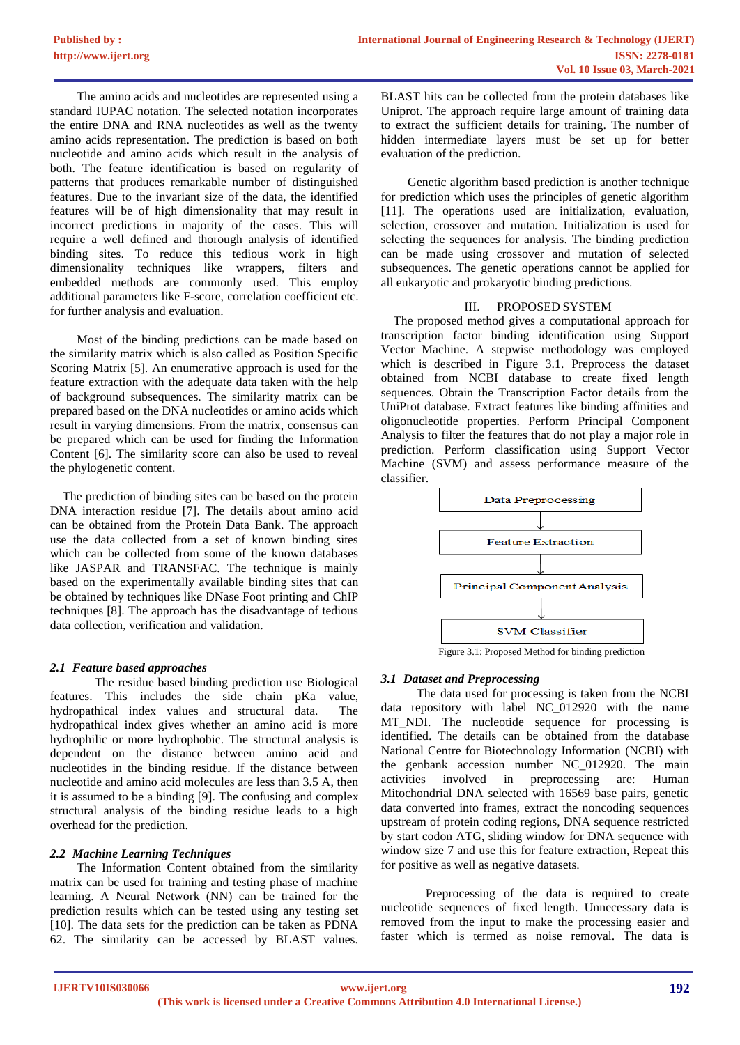The amino acids and nucleotides are represented using a standard IUPAC notation. The selected notation incorporates the entire DNA and RNA nucleotides as well as the twenty amino acids representation. The prediction is based on both nucleotide and amino acids which result in the analysis of both. The feature identification is based on regularity of patterns that produces remarkable number of distinguished features. Due to the invariant size of the data, the identified features will be of high dimensionality that may result in incorrect predictions in majority of the cases. This will require a well defined and thorough analysis of identified binding sites. To reduce this tedious work in high dimensionality techniques like wrappers, filters and embedded methods are commonly used. This employ additional parameters like F-score, correlation coefficient etc. for further analysis and evaluation.

Most of the binding predictions can be made based on the similarity matrix which is also called as Position Specific Scoring Matrix [5]. An enumerative approach is used for the feature extraction with the adequate data taken with the help of background subsequences. The similarity matrix can be prepared based on the DNA nucleotides or amino acids which result in varying dimensions. From the matrix, consensus can be prepared which can be used for finding the Information Content [6]. The similarity score can also be used to reveal the phylogenetic content.

The prediction of binding sites can be based on the protein DNA interaction residue [7]. The details about amino acid can be obtained from the Protein Data Bank. The approach use the data collected from a set of known binding sites which can be collected from some of the known databases like JASPAR and TRANSFAC. The technique is mainly based on the experimentally available binding sites that can be obtained by techniques like DNase Foot printing and ChIP techniques [8]. The approach has the disadvantage of tedious data collection, verification and validation.

# *2.1 Feature based approaches*

The residue based binding prediction use Biological features. This includes the side chain pKa value, hydropathical index values and structural data. The hydropathical index gives whether an amino acid is more hydrophilic or more hydrophobic. The structural analysis is dependent on the distance between amino acid and nucleotides in the binding residue. If the distance between nucleotide and amino acid molecules are less than 3.5 A, then it is assumed to be a binding [9]. The confusing and complex structural analysis of the binding residue leads to a high overhead for the prediction.

# *2.2 Machine Learning Techniques*

The Information Content obtained from the similarity matrix can be used for training and testing phase of machine learning. A Neural Network (NN) can be trained for the prediction results which can be tested using any testing set [10]. The data sets for the prediction can be taken as PDNA 62. The similarity can be accessed by BLAST values.

BLAST hits can be collected from the protein databases like Uniprot. The approach require large amount of training data to extract the sufficient details for training. The number of hidden intermediate layers must be set up for better evaluation of the prediction.

Genetic algorithm based prediction is another technique for prediction which uses the principles of genetic algorithm [11]. The operations used are initialization, evaluation, selection, crossover and mutation. Initialization is used for selecting the sequences for analysis. The binding prediction can be made using crossover and mutation of selected subsequences. The genetic operations cannot be applied for all eukaryotic and prokaryotic binding predictions.

# III. PROPOSED SYSTEM

The proposed method gives a computational approach for transcription factor binding identification using Support Vector Machine. A stepwise methodology was employed which is described in Figure 3.1. Preprocess the dataset obtained from NCBI database to create fixed length sequences. Obtain the Transcription Factor details from the UniProt database. Extract features like binding affinities and oligonucleotide properties. Perform Principal Component Analysis to filter the features that do not play a major role in prediction. Perform classification using Support Vector Machine (SVM) and assess performance measure of the classifier.



Figure 3.1: Proposed Method for binding prediction

# *3.1 Dataset and Preprocessing*

The data used for processing is taken from the NCBI data repository with label NC\_012920 with the name MT\_NDI. The nucleotide sequence for processing is identified. The details can be obtained from the database National Centre for Biotechnology Information (NCBI) with the genbank accession number NC\_012920. The main activities involved in preprocessing are: Human Mitochondrial DNA selected with 16569 base pairs, genetic data converted into frames, extract the noncoding sequences upstream of protein coding regions, DNA sequence restricted by start codon ATG, sliding window for DNA sequence with window size 7 and use this for feature extraction, Repeat this for positive as well as negative datasets.

Preprocessing of the data is required to create nucleotide sequences of fixed length. Unnecessary data is removed from the input to make the processing easier and faster which is termed as noise removal. The data is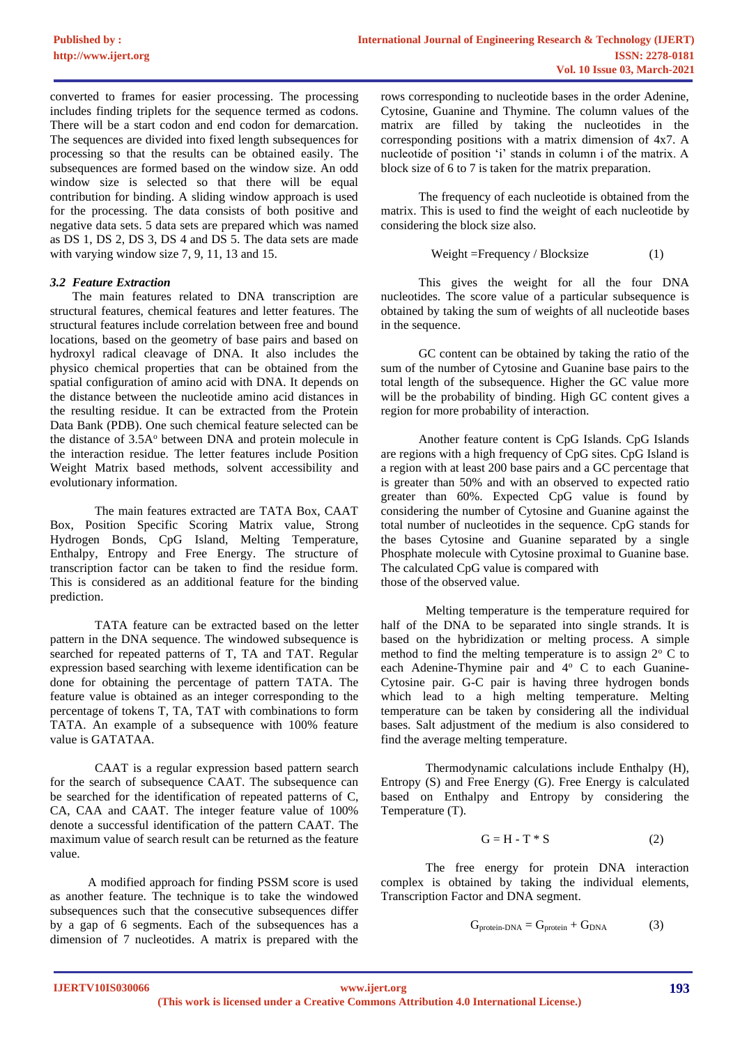converted to frames for easier processing. The processing includes finding triplets for the sequence termed as codons. There will be a start codon and end codon for demarcation. The sequences are divided into fixed length subsequences for processing so that the results can be obtained easily. The subsequences are formed based on the window size. An odd window size is selected so that there will be equal contribution for binding. A sliding window approach is used for the processing. The data consists of both positive and negative data sets. 5 data sets are prepared which was named as DS 1, DS 2, DS 3, DS 4 and DS 5. The data sets are made with varying window size 7, 9, 11, 13 and 15.

# *3.2 Feature Extraction*

The main features related to DNA transcription are structural features, chemical features and letter features. The structural features include correlation between free and bound locations, based on the geometry of base pairs and based on hydroxyl radical cleavage of DNA. It also includes the physico chemical properties that can be obtained from the spatial configuration of amino acid with DNA. It depends on the distance between the nucleotide amino acid distances in the resulting residue. It can be extracted from the Protein Data Bank (PDB). One such chemical feature selected can be the distance of 3.5A<sup>o</sup> between DNA and protein molecule in the interaction residue. The letter features include Position Weight Matrix based methods, solvent accessibility and evolutionary information.

The main features extracted are TATA Box, CAAT Box, Position Specific Scoring Matrix value, Strong Hydrogen Bonds, CpG Island, Melting Temperature, Enthalpy, Entropy and Free Energy. The structure of transcription factor can be taken to find the residue form. This is considered as an additional feature for the binding prediction.

TATA feature can be extracted based on the letter pattern in the DNA sequence. The windowed subsequence is searched for repeated patterns of T, TA and TAT. Regular expression based searching with lexeme identification can be done for obtaining the percentage of pattern TATA. The feature value is obtained as an integer corresponding to the percentage of tokens T, TA, TAT with combinations to form TATA. An example of a subsequence with 100% feature value is GATATAA.

CAAT is a regular expression based pattern search for the search of subsequence CAAT. The subsequence can be searched for the identification of repeated patterns of C, CA, CAA and CAAT. The integer feature value of 100% denote a successful identification of the pattern CAAT. The maximum value of search result can be returned as the feature value.

A modified approach for finding PSSM score is used as another feature. The technique is to take the windowed subsequences such that the consecutive subsequences differ by a gap of 6 segments. Each of the subsequences has a dimension of 7 nucleotides. A matrix is prepared with the

rows corresponding to nucleotide bases in the order Adenine, Cytosine, Guanine and Thymine. The column values of the matrix are filled by taking the nucleotides in the corresponding positions with a matrix dimension of 4x7. A nucleotide of position 'i' stands in column i of the matrix. A block size of 6 to 7 is taken for the matrix preparation.

The frequency of each nucleotide is obtained from the matrix. This is used to find the weight of each nucleotide by considering the block size also.

$$
Weight = Frequency / Blocksize
$$
 (1)

This gives the weight for all the four DNA nucleotides. The score value of a particular subsequence is obtained by taking the sum of weights of all nucleotide bases in the sequence.

GC content can be obtained by taking the ratio of the sum of the number of Cytosine and Guanine base pairs to the total length of the subsequence. Higher the GC value more will be the probability of binding. High GC content gives a region for more probability of interaction.

Another feature content is CpG Islands. CpG Islands are regions with a high frequency of CpG sites. CpG Island is a region with at least 200 base pairs and a GC percentage that is greater than 50% and with an observed to expected ratio greater than 60%. Expected CpG value is found by considering the number of Cytosine and Guanine against the total number of nucleotides in the sequence. CpG stands for the bases Cytosine and Guanine separated by a single Phosphate molecule with Cytosine proximal to Guanine base. The calculated CpG value is compared with those of the observed value.

Melting temperature is the temperature required for half of the DNA to be separated into single strands. It is based on the hybridization or melting process. A simple method to find the melting temperature is to assign  $2^{\circ}$  C to each Adenine-Thymine pair and  $4^{\circ}$  C to each Guanine-Cytosine pair. G-C pair is having three hydrogen bonds which lead to a high melting temperature. Melting temperature can be taken by considering all the individual bases. Salt adjustment of the medium is also considered to find the average melting temperature.

Thermodynamic calculations include Enthalpy (H), Entropy (S) and Free Energy (G). Free Energy is calculated based on Enthalpy and Entropy by considering the Temperature (T).

$$
G = H - T * S \tag{2}
$$

The free energy for protein DNA interaction complex is obtained by taking the individual elements, Transcription Factor and DNA segment.

$$
G_{\text{protein-DNA}} = G_{\text{protein}} + G_{\text{DNA}} \qquad \qquad (3)
$$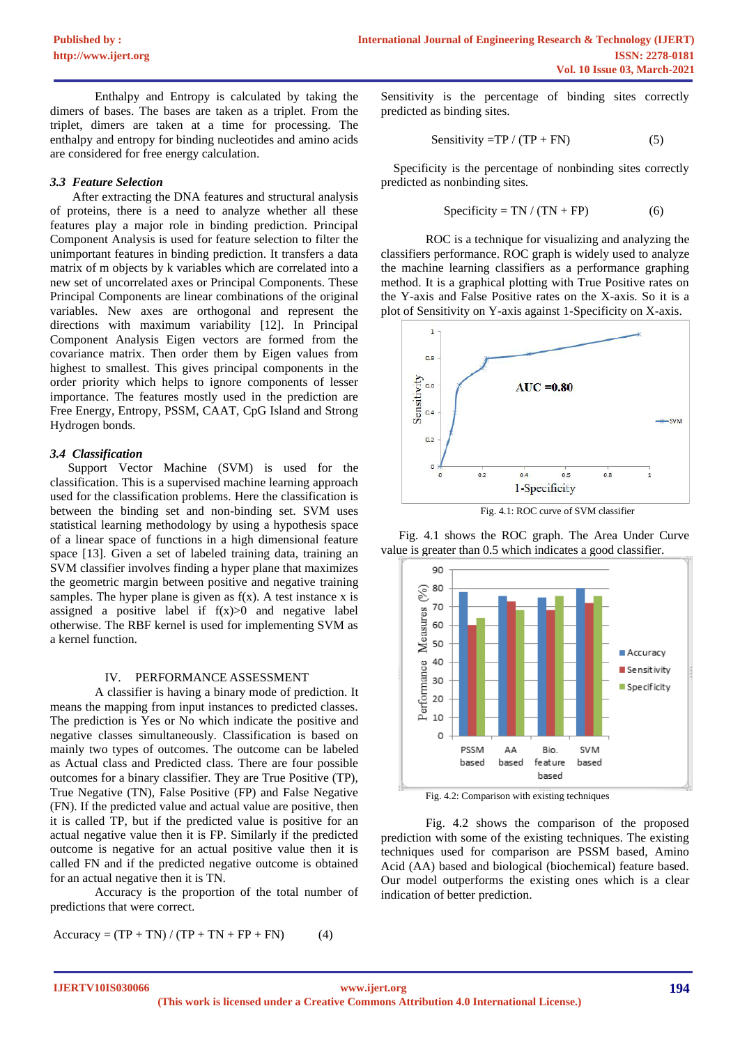Enthalpy and Entropy is calculated by taking the dimers of bases. The bases are taken as a triplet. From the triplet, dimers are taken at a time for processing. The enthalpy and entropy for binding nucleotides and amino acids are considered for free energy calculation.

#### *3.3 Feature Selection*

After extracting the DNA features and structural analysis of proteins, there is a need to analyze whether all these features play a major role in binding prediction. Principal Component Analysis is used for feature selection to filter the unimportant features in binding prediction. It transfers a data matrix of m objects by k variables which are correlated into a new set of uncorrelated axes or Principal Components. These Principal Components are linear combinations of the original variables. New axes are orthogonal and represent the directions with maximum variability [12]. In Principal Component Analysis Eigen vectors are formed from the covariance matrix. Then order them by Eigen values from highest to smallest. This gives principal components in the order priority which helps to ignore components of lesser importance. The features mostly used in the prediction are Free Energy, Entropy, PSSM, CAAT, CpG Island and Strong Hydrogen bonds.

# *3.4 Classification*

Support Vector Machine (SVM) is used for the classification. This is a supervised machine learning approach used for the classification problems. Here the classification is between the binding set and non-binding set. SVM uses statistical learning methodology by using a hypothesis space of a linear space of functions in a high dimensional feature space [13]. Given a set of labeled training data, training an SVM classifier involves finding a hyper plane that maximizes the geometric margin between positive and negative training samples. The hyper plane is given as  $f(x)$ . A test instance x is assigned a positive label if  $f(x) > 0$  and negative label otherwise. The RBF kernel is used for implementing SVM as a kernel function.

#### IV. PERFORMANCE ASSESSMENT

A classifier is having a binary mode of prediction. It means the mapping from input instances to predicted classes. The prediction is Yes or No which indicate the positive and negative classes simultaneously. Classification is based on mainly two types of outcomes. The outcome can be labeled as Actual class and Predicted class. There are four possible outcomes for a binary classifier. They are True Positive (TP), True Negative (TN), False Positive (FP) and False Negative (FN). If the predicted value and actual value are positive, then it is called TP, but if the predicted value is positive for an actual negative value then it is FP. Similarly if the predicted outcome is negative for an actual positive value then it is called FN and if the predicted negative outcome is obtained for an actual negative then it is TN.

Accuracy is the proportion of the total number of predictions that were correct.

$$
Accuracy = (TP + TN) / (TP + TN + FP + FN)
$$
 (4)

Sensitivity is the percentage of binding sites correctly predicted as binding sites.

$$
Sensitivity = TP / (TP + FN)
$$
 (5)

Specificity is the percentage of nonbinding sites correctly predicted as nonbinding sites.

$$
Specificity = TN / (TN + FP)
$$
 (6)

ROC is a technique for visualizing and analyzing the classifiers performance. ROC graph is widely used to analyze the machine learning classifiers as a performance graphing method. It is a graphical plotting with True Positive rates on the Y-axis and False Positive rates on the X-axis. So it is a plot of Sensitivity on Y-axis against 1-Specificity on X-axis.



Fig. 4.1: ROC curve of SVM classifier

Fig. 4.1 shows the ROC graph. The Area Under Curve value is greater than 0.5 which indicates a good classifier.



Fig. 4.2: Comparison with existing techniques

Fig. 4.2 shows the comparison of the proposed prediction with some of the existing techniques. The existing techniques used for comparison are PSSM based, Amino Acid (AA) based and biological (biochemical) feature based. Our model outperforms the existing ones which is a clear indication of better prediction.